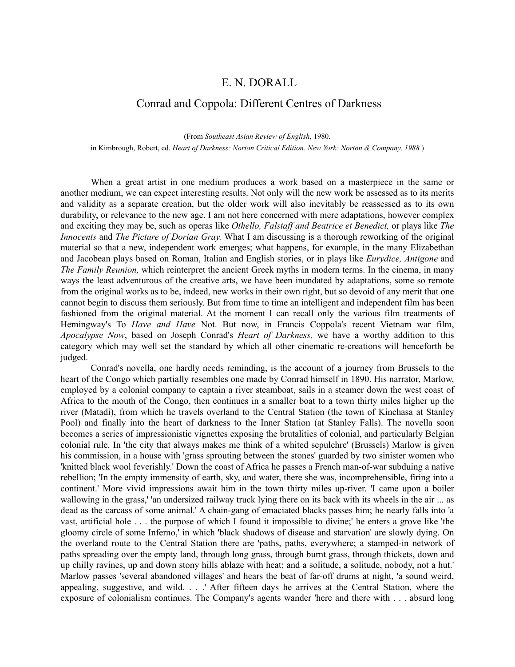## E. N. DORALL

## Conrad and Coppola: Different Centres of Darkness

(From *Southeast Asian Review of English*, 1980. in Kimbrough, Robert, ed. *Heart of Darkness: Norton Critical Edition. New York: Norton & Company, 1988.*)

When a great artist in one medium produces a work based on a masterpiece in the same or another medium, we can expect interesting results. Not only will the new work be assessed as to its merits and validity as a separate creation, but the older work will also inevitably be reassessed as to its own durability, or relevance to the new age. I am not here concerned with mere adaptations, however complex and exciting they may be, such as operas like *Othello, Falstaff and Beatrice et Benedict,* or plays like *The Innocents* and *The Picture of Dorian Gray.* What I am discussing is a thorough reworking of the original material so that a new, independent work emerges; what happens, for example, in the many Elizabethan and Jacobean plays based on Roman, Italian and English stories, or in plays like *Eurydice, Antigone* and *The Family Reunion,* which reinterpret the ancient Greek myths in modern terms. In the cinema, in many ways the least adventurous of the creative arts, we have been inundated by adaptations, some so remote from the original works as to be, indeed, new works in their own right, but so devoid of any merit that one cannot begin to discuss them seriously. But from time to time an intelligent and independent film has been fashioned from the original material. At the moment I can recall only the various film treatments of Hemingway's To *Have and Have* Not. But now, in Francis Coppola's recent Vietnam war film, *Apocalypse Now*, based on Joseph Conrad's *Heart of Darkness,* we have a worthy addition to this category which may well set the standard by which all other cinematic re-creations will henceforth be judged.

Conrad's novella, one hardly needs reminding, is the account of a journey from Brussels to the heart of the Congo which partially resembles one made by Conrad himself in 1890. His narrator, Marlow, employed by a colonial company to captain a river steamboat, sails in a steamer down the west coast of Africa to the mouth of the Congo, then continues in a smaller boat to a town thirty miles higher up the river (Matadi), from which he travels overland to the Central Station (the town of Kinchasa at Stanley Pool) and finally into the heart of darkness to the Inner Station (at Stanley Falls). The novella soon becomes a series of impressionistic vignettes exposing the brutalities of colonial, and particularly Belgian colonial rule. In 'the city that always makes me think of a whited sepulchre' (Brussels) Marlow is given his commission, in a house with 'grass sprouting between the stones' guarded by two sinister women who 'knitted black wool feverishly.' Down the coast of Africa he passes a French man-of-war subduing a native rebellion; 'In the empty immensity of earth, sky, and water, there she was, incomprehensible, firing into a continent.' More vivid impressions await him in the town thirty miles up-river. 'I came upon a boiler wallowing in the grass,' 'an undersized railway truck lying there on its back with its wheels in the air ... as dead as the carcass of some animal.' A chain-gang of emaciated blacks passes him; he nearly falls into 'a vast, artificial hole . . . the purpose of which I found it impossible to divine;' he enters a grove like 'the gloomy circle of some Inferno,' in which 'black shadows of disease and starvation' are slowly dying. On the overland route to the Central Station there are 'paths, paths, everywhere; a stamped-in network of paths spreading over the empty land, through long grass, through burnt grass, through thickets, down and up chilly ravines, up and down stony hills ablaze with heat; and a solitude, a solitude, nobody, not a hut.' Marlow passes 'several abandoned villages' and hears the beat of far-off drums at night, 'a sound weird, appealing, suggestive, and wild. . . .' After fifteen days he arrives at the Central Station, where the exposure of colonialism continues. The Company's agents wander 'here and there with . . . absurd long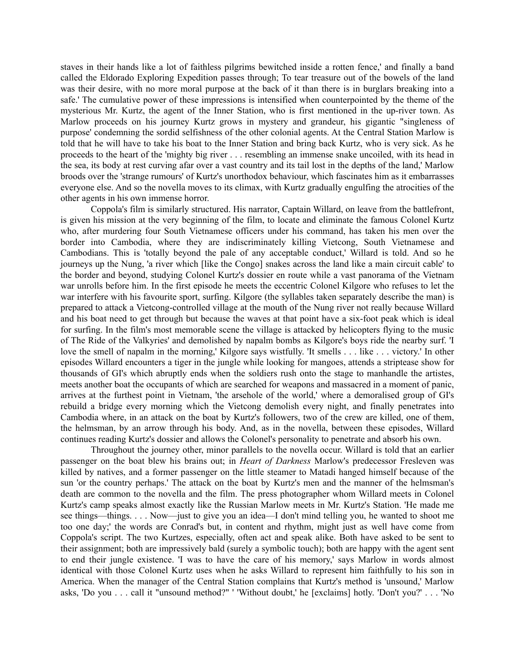staves in their hands like a lot of faithless pilgrims bewitched inside a rotten fence,' and finally a band called the Eldorado Exploring Expedition passes through; To tear treasure out of the bowels of the land was their desire, with no more moral purpose at the back of it than there is in burglars breaking into a safe.' The cumulative power of these impressions is intensified when counterpointed by the theme of the mysterious Mr. Kurtz, the agent of the Inner Station, who is first mentioned in the up-river town. As Marlow proceeds on his journey Kurtz grows in mystery and grandeur, his gigantic "singleness of purpose' condemning the sordid selfishness of the other colonial agents. At the Central Station Marlow is told that he will have to take his boat to the Inner Station and bring back Kurtz, who is very sick. As he proceeds to the heart of the 'mighty big river . . . resembling an immense snake uncoiled, with its head in the sea, its body at rest curving afar over a vast country and its tail lost in the depths of the land,' Marlow broods over the 'strange rumours' of Kurtz's unorthodox behaviour, which fascinates him as it embarrasses everyone else. And so the novella moves to its climax, with Kurtz gradually engulfing the atrocities of the other agents in his own immense horror.

Coppola's film is similarly structured. His narrator, Captain Willard, on leave from the battlefront, is given his mission at the very beginning of the film, to locate and eliminate the famous Colonel Kurtz who, after murdering four South Vietnamese officers under his command, has taken his men over the border into Cambodia, where they are indiscriminately killing Vietcong, South Vietnamese and Cambodians. This is 'totally beyond the pale of any acceptable conduct,' Willard is told. And so he journeys up the Nung, 'a river which [like the Congo] snakes across the land like a main circuit cable' to the border and beyond, studying Colonel Kurtz's dossier en route while a vast panorama of the Vietnam war unrolls before him. In the first episode he meets the eccentric Colonel Kilgore who refuses to let the war interfere with his favourite sport, surfing. Kilgore (the syllables taken separately describe the man) is prepared to attack a Vietcong-controlled village at the mouth of the Nung river not really because Willard and his boat need to get through but because the waves at that point have a six-foot peak which is ideal for surfing. In the film's most memorable scene the village is attacked by helicopters flying to the music of The Ride of the Valkyries' and demolished by napalm bombs as Kilgore's boys ride the nearby surf. 'I love the smell of napalm in the morning,' Kilgore says wistfully. 'It smells . . . like . . . victory.' In other episodes Willard encounters a tiger in the jungle while looking for mangoes, attends a striptease show for thousands of GI's which abruptly ends when the soldiers rush onto the stage to manhandle the artistes, meets another boat the occupants of which are searched for weapons and massacred in a moment of panic, arrives at the furthest point in Vietnam, 'the arsehole of the world,' where a demoralised group of GI's rebuild a bridge every morning which the Vietcong demolish every night, and finally penetrates into Cambodia where, in an attack on the boat by Kurtz's followers, two of the crew are killed, one of them, the helmsman, by an arrow through his body. And, as in the novella, between these episodes, Willard continues reading Kurtz's dossier and allows the Colonel's personality to penetrate and absorb his own.

Throughout the journey other, minor parallels to the novella occur. Willard is told that an earlier passenger on the boat blew his brains out; in *Heart of Darkness* Marlow's predecessor Fresleven was killed by natives, and a former passenger on the little steamer to Matadi hanged himself because of the sun 'or the country perhaps.' The attack on the boat by Kurtz's men and the manner of the helmsman's death are common to the novella and the film. The press photographer whom Willard meets in Colonel Kurtz's camp speaks almost exactly like the Russian Marlow meets in Mr. Kurtz's Station. 'He made me see things—things. . . . Now—just to give you an idea—I don't mind telling you, he wanted to shoot me too one day;' the words are Conrad's but, in content and rhythm, might just as well have come from Coppola's script. The two Kurtzes, especially, often act and speak alike. Both have asked to be sent to their assignment; both are impressively bald (surely a symbolic touch); both are happy with the agent sent to end their jungle existence. 'I was to have the care of his memory,' says Marlow in words almost identical with those Colonel Kurtz uses when he asks Willard to represent him faithfully to his son in America. When the manager of the Central Station complains that Kurtz's method is 'unsound,' Marlow asks, 'Do you . . . call it "unsound method?" ' 'Without doubt,' he [exclaims] hotly. 'Don't you?' . . . 'No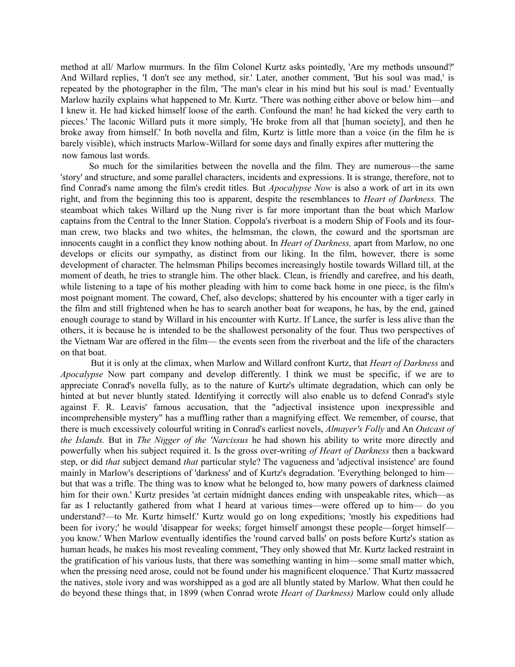method at all/ Marlow murmurs. In the film Colonel Kurtz asks pointedly, 'Are my methods unsound?' And Willard replies, 'I don't see any method, sir.' Later, another comment, 'But his soul was mad,' is repeated by the photographer in the film, 'The man's clear in his mind but his soul is mad.' Eventually Marlow hazily explains what happened to Mr. Kurtz. 'There was nothing either above or below him—and I knew it. He had kicked himself loose of the earth. Confound the man! he had kicked the very earth to pieces.' The laconic Willard puts it more simply, 'He broke from all that [human society], and then he broke away from himself.' In both novella and film, Kurtz is little more than a voice (in the film he is barely visible), which instructs Marlow-Willard for some days and finally expires after muttering the now famous last words.

So much for the similarities between the novella and the film. They are numerous—the same 'story' and structure, and some parallel characters, incidents and expressions. It is strange, therefore, not to find Conrad's name among the film's credit titles. But *Apocalypse Now* is also a work of art in its own right, and from the beginning this too is apparent, despite the resemblances to *Heart of Darkness.* The steamboat which takes Willard up the Nung river is far more important than the boat which Marlow captains from the Central to the Inner Station. Coppola's riverboat is a modern Ship of Fools and its fourman crew, two blacks and two whites, the helmsman, the clown, the coward and the sportsman are innocents caught in a conflict they know nothing about. In *Heart of Darkness,* apart from Marlow, no one develops or elicits our sympathy, as distinct from our liking. In the film, however, there is some development of character. The helmsman Philips becomes increasingly hostile towards Willard till, at the moment of death, he tries to strangle him. The other black. Clean, is friendly and carefree, and his death, while listening to a tape of his mother pleading with him to come back home in one piece, is the film's most poignant moment. The coward, Chef, also develops; shattered by his encounter with a tiger early in the film and still frightened when he has to search another boat for weapons, he has, by the end, gained enough courage to stand by Willard in his encounter with Kurtz. If Lance, the surfer is less alive than the others, it is because he is intended to be the shallowest personality of the four. Thus two perspectives of the Vietnam War are offered in the film— the events seen from the riverboat and the life of the characters on that boat.

But it is only at the climax, when Marlow and Willard confront Kurtz, that *Heart of Darkness* and *Apocalypse* Now part company and develop differently. I think we must be specific, if we are to appreciate Conrad's novella fully, as to the nature of Kurtz's ultimate degradation, which can only be hinted at but never bluntly stated. Identifying it correctly will also enable us to defend Conrad's style against F. R. Leavis' famous accusation, that the "adjectival insistence upon inexpressible and incomprehensible mystery" has a muffling rather than a magnifying effect. We remember, of course, that there is much excessively colourful writing in Conrad's earliest novels, *Almayer's Folly* and An *Outcast of the Islands.* But in *The Nigger of the 'Narcissus* he had shown his ability to write more directly and powerfully when his subject required it. Is the gross over-writing *of Heart of Darkness* then a backward step, or did *that* subject demand *that* particular style? The vagueness and 'adjectival insistence' are found mainly in Marlow's descriptions of 'darkness' and of Kurtz's degradation. 'Everything belonged to him but that was a trifle. The thing was to know what he belonged to, how many powers of darkness claimed him for their own.' Kurtz presides 'at certain midnight dances ending with unspeakable rites, which—as far as I reluctantly gathered from what I heard at various times—were offered up to him— do you understand?—to Mr. Kurtz himself.' Kurtz would go on long expeditions; 'mostly his expeditions had been for ivory;' he would 'disappear for weeks; forget himself amongst these people—forget himself you know.' When Marlow eventually identifies the 'round carved balls' on posts before Kurtz's station as human heads, he makes his most revealing comment, 'They only showed that Mr. Kurtz lacked restraint in the gratification of his various lusts, that there was something wanting in him—some small matter which, when the pressing need arose, could not be found under his magnificent eloquence.' That Kurtz massacred the natives, stole ivory and was worshipped as a god are all bluntly stated by Marlow. What then could he do beyond these things that, in 1899 (when Conrad wrote *Heart of Darkness)* Marlow could only allude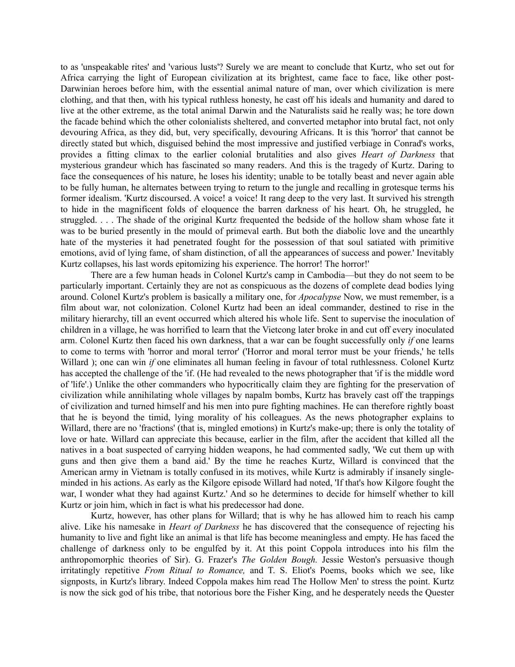to as 'unspeakable rites' and 'various lusts'? Surely we are meant to conclude that Kurtz, who set out for Africa carrying the light of European civilization at its brightest, came face to face, like other post-Darwinian heroes before him, with the essential animal nature of man, over which civilization is mere clothing, and that then, with his typical ruthless honesty, he cast off his ideals and humanity and dared to live at the other extreme, as the total animal Darwin and the Naturalists said he really was; he tore down the facade behind which the other colonialists sheltered, and converted metaphor into brutal fact, not only devouring Africa, as they did, but, very specifically, devouring Africans. It is this 'horror' that cannot be directly stated but which, disguised behind the most impressive and justified verbiage in Conrad's works, provides a fitting climax to the earlier colonial brutalities and also gives *Heart of Darkness* that mysterious grandeur which has fascinated so many readers. And this is the tragedy of Kurtz. Daring to face the consequences of his nature, he loses his identity; unable to be totally beast and never again able to be fully human, he alternates between trying to return to the jungle and recalling in grotesque terms his former idealism. 'Kurtz discoursed. A voice! a voice! It rang deep to the very last. It survived his strength to hide in the magnificent folds of eloquence the barren darkness of his heart. Oh, he struggled, he struggled. . . . The shade of the original Kurtz frequented the bedside of the hollow sham whose fate it was to be buried presently in the mould of primeval earth. But both the diabolic love and the unearthly hate of the mysteries it had penetrated fought for the possession of that soul satiated with primitive emotions, avid of lying fame, of sham distinction, of all the appearances of success and power.' Inevitably Kurtz collapses, his last words epitomizing his experience. The horror! The horror!'

There are a few human heads in Colonel Kurtz's camp in Cambodia—but they do not seem to be particularly important. Certainly they are not as conspicuous as the dozens of complete dead bodies lying around. Colonel Kurtz's problem is basically a military one, for *Apocalypse* Now, we must remember, is a film about war, not colonization. Colonel Kurtz had been an ideal commander, destined to rise in the military hierarchy, till an event occurred which altered his whole life. Sent to supervise the inoculation of children in a village, he was horrified to learn that the Vietcong later broke in and cut off every inoculated arm. Colonel Kurtz then faced his own darkness, that a war can be fought successfully only *if* one learns to come to terms with 'horror and moral terror' ('Horror and moral terror must be your friends,' he tells Willard ); one can win *if* one eliminates all human feeling in favour of total ruthlessness. Colonel Kurtz has accepted the challenge of the 'if. (He had revealed to the news photographer that 'if is the middle word of 'life'.) Unlike the other commanders who hypocritically claim they are fighting for the preservation of civilization while annihilating whole villages by napalm bombs, Kurtz has bravely cast off the trappings of civilization and turned himself and his men into pure fighting machines. He can therefore rightly boast that he is beyond the timid, lying morality of his colleagues. As the news photographer explains to Willard, there are no 'fractions' (that is, mingled emotions) in Kurtz's make-up; there is only the totality of love or hate. Willard can appreciate this because, earlier in the film, after the accident that killed all the natives in a boat suspected of carrying hidden weapons, he had commented sadly, 'We cut them up with guns and then give them a band aid.' By the time he reaches Kurtz, Willard is convinced that the American army in Vietnam is totally confused in its motives, while Kurtz is admirably if insanely singleminded in his actions. As early as the Kilgore episode Willard had noted, 'If that's how Kilgore fought the war, I wonder what they had against Kurtz.' And so he determines to decide for himself whether to kill Kurtz or join him, which in fact is what his predecessor had done.

Kurtz, however, has other plans for Willard; that is why he has allowed him to reach his camp alive. Like his namesake in *Heart of Darkness* he has discovered that the consequence of rejecting his humanity to live and fight like an animal is that life has become meaningless and empty. He has faced the challenge of darkness only to be engulfed by it. At this point Coppola introduces into his film the anthropomorphic theories of Sir). G. Frazer's *The Golden Bough.* Jessie Weston's persuasive though irritatingly repetitive *From Ritual to Romance,* and T. S. Eliot's Poems, books which we see, like signposts, in Kurtz's library. Indeed Coppola makes him read The Hollow Men' to stress the point. Kurtz is now the sick god of his tribe, that notorious bore the Fisher King, and he desperately needs the Quester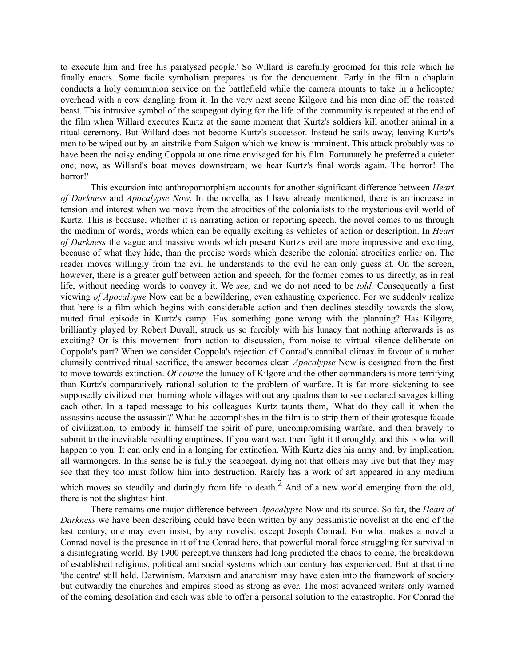to execute him and free his paralysed people.' So Willard is carefully groomed for this role which he finally enacts. Some facile symbolism prepares us for the denouement. Early in the film a chaplain conducts a holy communion service on the battlefield while the camera mounts to take in a helicopter overhead with a cow dangling from it. In the very next scene Kilgore and his men dine off the roasted beast. This intrusive symbol of the scapegoat dying for the life of the community is repeated at the end of the film when Willard executes Kurtz at the same moment that Kurtz's soldiers kill another animal in a ritual ceremony. But Willard does not become Kurtz's successor. Instead he sails away, leaving Kurtz's men to be wiped out by an airstrike from Saigon which we know is imminent. This attack probably was to have been the noisy ending Coppola at one time envisaged for his film. Fortunately he preferred a quieter one; now, as Willard's boat moves downstream, we hear Kurtz's final words again. The horror! The horror!'

This excursion into anthropomorphism accounts for another significant difference between *Heart of Darkness* and *Apocalypse Now*. In the novella, as I have already mentioned, there is an increase in tension and interest when we move from the atrocities of the colonialists to the mysterious evil world of Kurtz. This is because, whether it is narrating action or reporting speech, the novel comes to us through the medium of words, words which can be equally exciting as vehicles of action or description. In *Heart of Darkness* the vague and massive words which present Kurtz's evil are more impressive and exciting, because of what they hide, than the precise words which describe the colonial atrocities earlier on. The reader moves willingly from the evil he understands to the evil he can only guess at. On the screen, however, there is a greater gulf between action and speech, for the former comes to us directly, as in real life, without needing words to convey it. We *see,* and we do not need to be *told.* Consequently a first viewing *of Apocalypse* Now can be a bewildering, even exhausting experience. For we suddenly realize that here is a film which begins with considerable action and then declines steadily towards the slow, muted final episode in Kurtz's camp. Has something gone wrong with the planning? Has Kilgore, brilliantly played by Robert Duvall, struck us so forcibly with his lunacy that nothing afterwards is as exciting? Or is this movement from action to discussion, from noise to virtual silence deliberate on Coppola's part? When we consider Coppola's rejection of Conrad's cannibal climax in favour of a rather clumsily contrived ritual sacrifice, the answer becomes clear. *Apocalypse* Now is designed from the first to move towards extinction. *Of course* the lunacy of Kilgore and the other commanders is more terrifying than Kurtz's comparatively rational solution to the problem of warfare. It is far more sickening to see supposedly civilized men burning whole villages without any qualms than to see declared savages killing each other. In a taped message to his colleagues Kurtz taunts them, 'What do they call it when the assassins accuse the assassin?' What he accomplishes in the film is to strip them of their grotesque facade of civilization, to embody in himself the spirit of pure, uncompromising warfare, and then bravely to submit to the inevitable resulting emptiness. If you want war, then fight it thoroughly, and this is what will happen to you. It can only end in a longing for extinction. With Kurtz dies his army and, by implication, all warmongers. In this sense he is fully the scapegoat, dying not that others may live but that they may see that they too must follow him into destruction. Rarely has a work of art appeared in any medium

which moves so steadily and daringly from life to death.<sup>2</sup> And of a new world emerging from the old, there is not the slightest hint.

There remains one major difference between *Apocalypse* Now and its source. So far, the *Heart of Darkness* we have been describing could have been written by any pessimistic novelist at the end of the last century, one may even insist, by any novelist except Joseph Conrad. For what makes a novel a Conrad novel is the presence in it of the Conrad hero, that powerful moral force struggling for survival in a disintegrating world. By 1900 perceptive thinkers had long predicted the chaos to come, the breakdown of established religious, political and social systems which our century has experienced. But at that time 'the centre' still held. Darwinism, Marxism and anarchism may have eaten into the framework of society but outwardly the churches and empires stood as strong as ever. The most advanced writers only warned of the coming desolation and each was able to offer a personal solution to the catastrophe. For Conrad the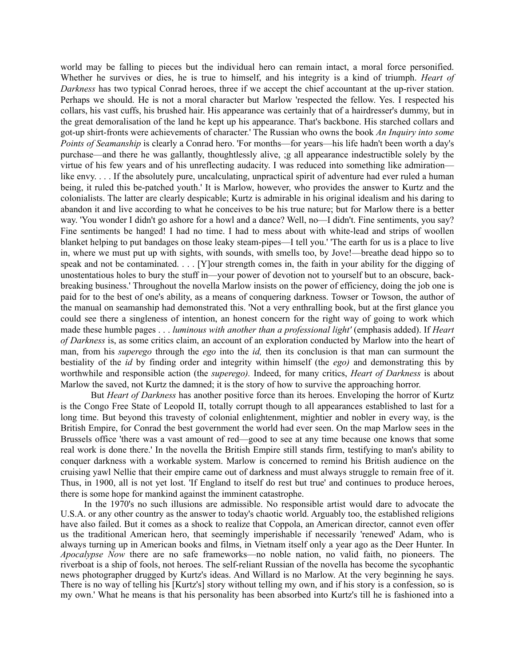world may be falling to pieces but the individual hero can remain intact, a moral force personified. Whether he survives or dies, he is true to himself, and his integrity is a kind of triumph. *Heart of Darkness* has two typical Conrad heroes, three if we accept the chief accountant at the up-river station. Perhaps we should. He is not a moral character but Marlow 'respected the fellow. Yes. I respected his collars, his vast cuffs, his brushed hair. His appearance was certainly that of a hairdresser's dummy, but in the great demoralisation of the land he kept up his appearance. That's backbone. His starched collars and got-up shirt-fronts were achievements of character.' The Russian who owns the book *An Inquiry into some Points of Seamanship* is clearly a Conrad hero. 'For months—for years—his life hadn't been worth a day's purchase—and there he was gallantly, thoughtlessly alive, ;g all appearance indestructible solely by the virtue of his few years and of his unreflecting audacity. I was reduced into something like admiration like envy. . . . If the absolutely pure, uncalculating, unpractical spirit of adventure had ever ruled a human being, it ruled this be-patched youth.' It is Marlow, however, who provides the answer to Kurtz and the colonialists. The latter are clearly despicable; Kurtz is admirable in his original idealism and his daring to abandon it and live according to what he conceives to be his true nature; but for Marlow there is a better way. 'You wonder I didn't go ashore for a howl and a dance? Well, no—I didn't. Fine sentiments, you say? Fine sentiments be hanged! I had no time. I had to mess about with white-lead and strips of woollen blanket helping to put bandages on those leaky steam-pipes—I tell you.' 'The earth for us is a place to live in, where we must put up with sights, with sounds, with smells too, by Jove!—breathe dead hippo so to speak and not be contaminated. . . . [Y]our strength comes in, the faith in your ability for the digging of unostentatious holes to bury the stuff in—your power of devotion not to yourself but to an obscure, backbreaking business.' Throughout the novella Marlow insists on the power of efficiency, doing the job one is paid for to the best of one's ability, as a means of conquering darkness. Towser or Towson, the author of the manual on seamanship had demonstrated this. 'Not a very enthralling book, but at the first glance you could see there a singleness of intention, an honest concern for the right way of going to work which made these humble pages . . . *luminous with another than a professional light'* (emphasis added). If *Heart of Darkness* is, as some critics claim, an account of an exploration conducted by Marlow into the heart of man, from his *superego* through the *ego* into the *id,* then its conclusion is that man can surmount the bestiality of the *id* by finding order and integrity within himself (the *ego)* and demonstrating this by worthwhile and responsible action (the *superego).* Indeed, for many critics, *Heart of Darkness* is about Marlow the saved, not Kurtz the damned; it is the story of how to survive the approaching horror.

But *Heart of Darkness* has another positive force than its heroes. Enveloping the horror of Kurtz is the Congo Free State of Leopold II, totally corrupt though to all appearances established to last for a long time. But beyond this travesty of colonial enlightenment, mightier and nobler in every way, is the British Empire, for Conrad the best government the world had ever seen. On the map Marlow sees in the Brussels office 'there was a vast amount of red—good to see at any time because one knows that some real work is done there.' In the novella the British Empire still stands firm, testifying to man's ability to conquer darkness with a workable system. Marlow is concerned to remind his British audience on the cruising yawl Nellie that their empire came out of darkness and must always struggle to remain free of it. Thus, in 1900, all is not yet lost. 'If England to itself do rest but true' and continues to produce heroes, there is some hope for mankind against the imminent catastrophe.

In the 1970's no such illusions are admissible. No responsible artist would dare to advocate the U.S.A. or any other country as the answer to today's chaotic world. Arguably too, the established religions have also failed. But it comes as a shock to realize that Coppola, an American director, cannot even offer us the traditional American hero, that seemingly imperishable if necessarily 'renewed' Adam, who is always turning up in American books and films, in Vietnam itself only a year ago as the Deer Hunter. In *Apocalypse Now* there are no safe frameworks—no noble nation, no valid faith, no pioneers. The riverboat is a ship of fools, not heroes. The self-reliant Russian of the novella has become the sycophantic news photographer drugged by Kurtz's ideas. And Willard is no Marlow. At the very beginning he says. There is no way of telling his [Kurtz's] story without telling my own, and if his story is a confession, so is my own.' What he means is that his personality has been absorbed into Kurtz's till he is fashioned into a